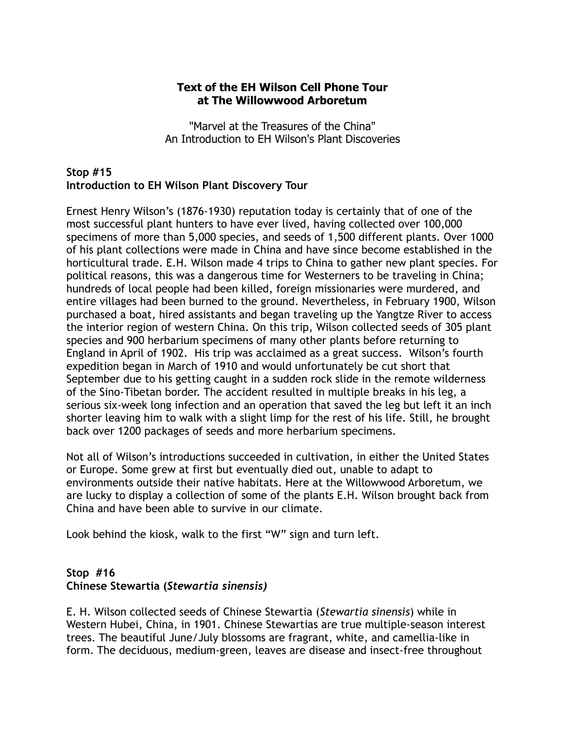#### **Text of the EH Wilson Cell Phone Tour at The Willowwood Arboretum**

"Marvel at the Treasures of the China" An Introduction to EH Wilson's Plant Discoveries

### **Stop #15 Introduction to EH Wilson Plant Discovery Tour**

Ernest Henry Wilson's (1876-1930) reputation today is certainly that of one of the most successful plant hunters to have ever lived, having collected over 100,000 specimens of more than 5,000 species, and seeds of 1,500 different plants. Over 1000 of his plant collections were made in China and have since become established in the horticultural trade. E.H. Wilson made 4 trips to China to gather new plant species. For political reasons, this was a dangerous time for Westerners to be traveling in China; hundreds of local people had been killed, foreign missionaries were murdered, and entire villages had been burned to the ground. Nevertheless, in February 1900, Wilson purchased a boat, hired assistants and began traveling up the Yangtze River to access the interior region of western China. On this trip, Wilson collected seeds of 305 plant species and 900 herbarium specimens of many other plants before returning to England in April of 1902. His trip was acclaimed as a great success. Wilson's fourth expedition began in March of 1910 and would unfortunately be cut short that September due to his getting caught in a sudden rock slide in the remote wilderness of the Sino-Tibetan border. The accident resulted in multiple breaks in his leg, a serious six-week long infection and an operation that saved the leg but left it an inch shorter leaving him to walk with a slight limp for the rest of his life. Still, he brought back over 1200 packages of seeds and more herbarium specimens.

Not all of Wilson's introductions succeeded in cultivation, in either the United States or Europe. Some grew at first but eventually died out, unable to adapt to environments outside their native habitats. Here at the Willowwood Arboretum, we are lucky to display a collection of some of the plants E.H. Wilson brought back from China and have been able to survive in our climate.

Look behind the kiosk, walk to the first "W" sign and turn left.

# **Stop #16 Chinese Stewartia (***Stewartia sinensis)*

E. H. Wilson collected seeds of Chinese Stewartia (*Stewartia sinensis*) while in Western Hubei, China, in 1901. Chinese Stewartias are true multiple-season interest trees. The beautiful June/July blossoms are fragrant, white, and camellia-like in form. The deciduous, medium-green, leaves are disease and insect-free throughout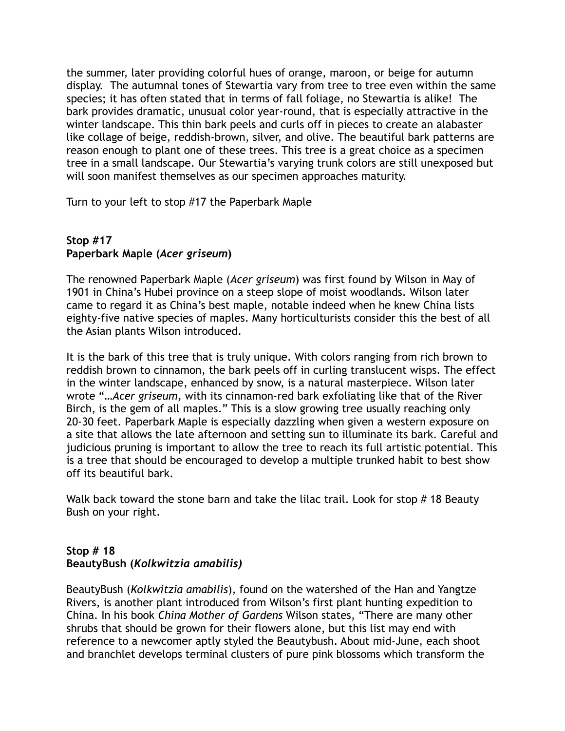the summer, later providing colorful hues of orange, maroon, or beige for autumn display. The autumnal tones of Stewartia vary from tree to tree even within the same species; it has often stated that in terms of fall foliage, no Stewartia is alike! The bark provides dramatic, unusual color year-round, that is especially attractive in the winter landscape. This thin bark peels and curls off in pieces to create an alabaster like collage of beige, reddish-brown, silver, and olive. The beautiful bark patterns are reason enough to plant one of these trees. This tree is a great choice as a specimen tree in a small landscape. Our Stewartia's varying trunk colors are still unexposed but will soon manifest themselves as our specimen approaches maturity.

Turn to your left to stop #17 the Paperbark Maple

# **Stop #17 Paperbark Maple (***Acer griseum***)**

The renowned Paperbark Maple (*Acer griseum*) was first found by Wilson in May of 1901 in China's Hubei province on a steep slope of moist woodlands. Wilson later came to regard it as China's best maple, notable indeed when he knew China lists eighty-five native species of maples. Many horticulturists consider this the best of all the Asian plants Wilson introduced.

It is the bark of this tree that is truly unique. With colors ranging from rich brown to reddish brown to cinnamon, the bark peels off in curling translucent wisps. The effect in the winter landscape, enhanced by snow, is a natural masterpiece. Wilson later wrote "…*Acer griseum,* with its cinnamon-red bark exfoliating like that of the River Birch, is the gem of all maples." This is a slow growing tree usually reaching only 20-30 feet. Paperbark Maple is especially dazzling when given a western exposure on a site that allows the late afternoon and setting sun to illuminate its bark. Careful and judicious pruning is important to allow the tree to reach its full artistic potential. This is a tree that should be encouraged to develop a multiple trunked habit to best show off its beautiful bark.

Walk back toward the stone barn and take the lilac trail. Look for stop #18 Beauty Bush on your right.

# **Stop # 18 BeautyBush (***Kolkwitzia amabilis)*

BeautyBush (*Kolkwitzia amabilis*), found on the watershed of the Han and Yangtze Rivers, is another plant introduced from Wilson's first plant hunting expedition to China. In his book *China Mother of Gardens* Wilson states, "There are many other shrubs that should be grown for their flowers alone, but this list may end with reference to a newcomer aptly styled the Beautybush. About mid-June, each shoot and branchlet develops terminal clusters of pure pink blossoms which transform the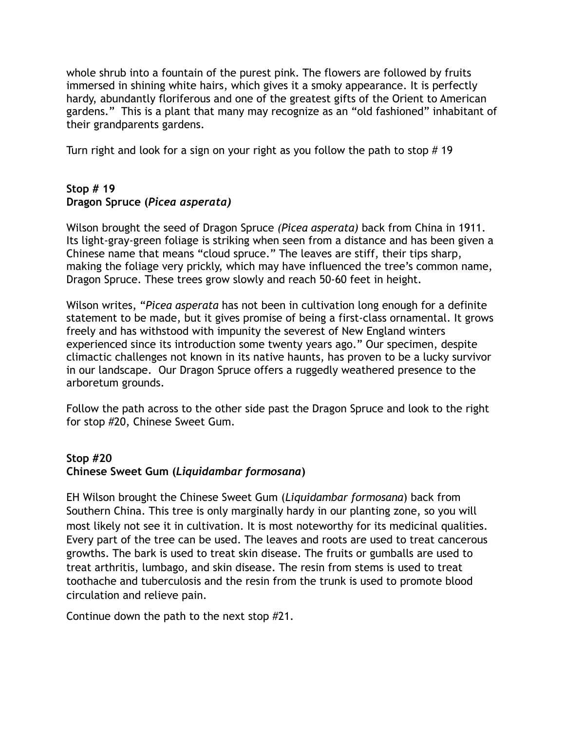whole shrub into a fountain of the purest pink. The flowers are followed by fruits immersed in shining white hairs, which gives it a smoky appearance. It is perfectly hardy, abundantly floriferous and one of the greatest gifts of the Orient to American gardens." This is a plant that many may recognize as an "old fashioned" inhabitant of their grandparents gardens.

Turn right and look for a sign on your right as you follow the path to stop # 19

# **Stop # 19 Dragon Spruce (***Picea asperata)*

Wilson brought the seed of Dragon Spruce *(Picea asperata)* back from China in 1911. Its light-gray-green foliage is striking when seen from a distance and has been given a Chinese name that means "cloud spruce." The leaves are stiff, their tips sharp, making the foliage very prickly, which may have influenced the tree's common name, Dragon Spruce. These trees grow slowly and reach 50-60 feet in height.

Wilson writes, "*Picea asperata* has not been in cultivation long enough for a definite statement to be made, but it gives promise of being a first-class ornamental. It grows freely and has withstood with impunity the severest of New England winters experienced since its introduction some twenty years ago." Our specimen, despite climactic challenges not known in its native haunts, has proven to be a lucky survivor in our landscape. Our Dragon Spruce offers a ruggedly weathered presence to the arboretum grounds.

Follow the path across to the other side past the Dragon Spruce and look to the right for stop #20, Chinese Sweet Gum.

# **Stop #20**

### **Chinese Sweet Gum (***Liquidambar formosana***)**

EH Wilson brought the Chinese Sweet Gum (*Liquidambar formosana*) back from Southern China. This tree is only marginally hardy in our planting zone, so you will most likely not see it in cultivation. It is most noteworthy for its medicinal qualities. Every part of the tree can be used. The leaves and roots are used to treat cancerous growths. The bark is used to treat skin disease. The fruits or gumballs are used to treat arthritis, lumbago, and skin disease. The resin from stems is used to treat toothache and tuberculosis and the resin from the trunk is used to promote blood circulation and relieve pain.

Continue down the path to the next stop #21.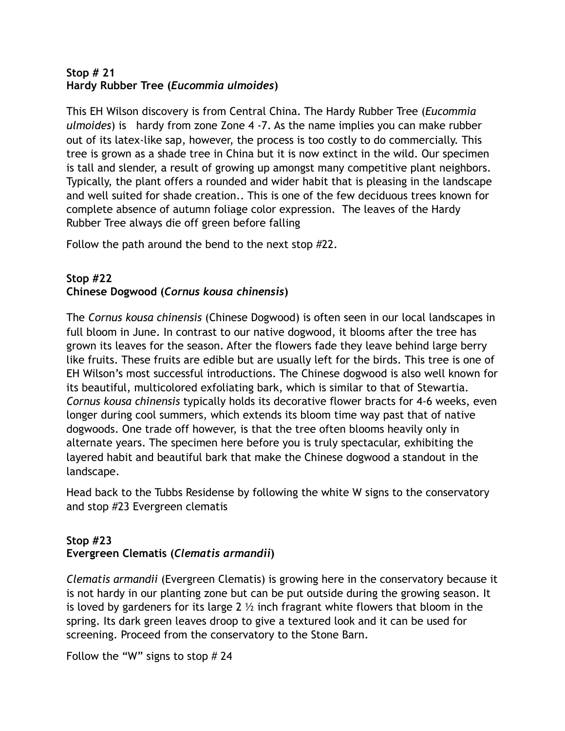#### **Stop # 21 Hardy Rubber Tree (***Eucommia ulmoides***)**

This EH Wilson discovery is from Central China. The Hardy Rubber Tree (*Eucommia ulmoides*) is hardy from zone Zone 4 -7. As the name implies you can make rubber out of its latex-like sap, however, the process is too costly to do commercially. This tree is grown as a shade tree in China but it is now extinct in the wild. Our specimen is tall and slender, a result of growing up amongst many competitive plant neighbors. Typically, the plant offers a rounded and wider habit that is pleasing in the landscape and well suited for shade creation.. This is one of the few deciduous trees known for complete absence of autumn foliage color expression. The leaves of the Hardy Rubber Tree always die off green before falling

Follow the path around the bend to the next stop #22.

### **Stop #22 Chinese Dogwood (***Cornus kousa chinensis***)**

The *Cornus kousa chinensis* (Chinese Dogwood) is often seen in our local landscapes in full bloom in June. In contrast to our native dogwood, it blooms after the tree has grown its leaves for the season. After the flowers fade they leave behind large berry like fruits. These fruits are edible but are usually left for the birds. This tree is one of EH Wilson's most successful introductions. The Chinese dogwood is also well known for its beautiful, multicolored exfoliating bark, which is similar to that of Stewartia. *Cornus kousa chinensis* typically holds its decorative flower bracts for 4-6 weeks, even longer during cool summers, which extends its bloom time way past that of native dogwoods. One trade off however, is that the tree often blooms heavily only in alternate years. The specimen here before you is truly spectacular, exhibiting the layered habit and beautiful bark that make the Chinese dogwood a standout in the landscape.

Head back to the Tubbs Residense by following the white W signs to the conservatory and stop #23 Evergreen clematis

# **Stop #23 Evergreen Clematis (***Clematis armandii***)**

*Clematis armandii* (Evergreen Clematis) is growing here in the conservatory because it is not hardy in our planting zone but can be put outside during the growing season. It is loved by gardeners for its large 2  $\frac{1}{2}$  inch fragrant white flowers that bloom in the spring. Its dark green leaves droop to give a textured look and it can be used for screening. Proceed from the conservatory to the Stone Barn.

Follow the "W" signs to stop # 24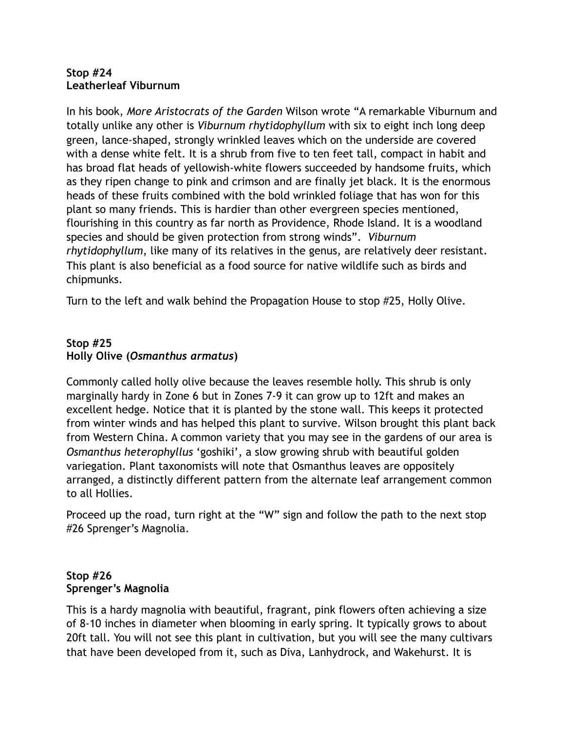#### **Stop #24 Leatherleaf Viburnum**

In his book, *More Aristocrats of the Garden* Wilson wrote "A remarkable Viburnum and totally unlike any other is *Viburnum rhytidophyllum* with six to eight inch long deep green, lance-shaped, strongly wrinkled leaves which on the underside are covered with a dense white felt. It is a shrub from five to ten feet tall, compact in habit and has broad flat heads of yellowish-white flowers succeeded by handsome fruits, which as they ripen change to pink and crimson and are finally jet black. It is the enormous heads of these fruits combined with the bold wrinkled foliage that has won for this plant so many friends. This is hardier than other evergreen species mentioned, flourishing in this country as far north as Providence, Rhode Island. It is a woodland species and should be given protection from strong winds". *Viburnum rhytidophyllum*, like many of its relatives in the genus, are relatively deer resistant. This plant is also beneficial as a food source for native wildlife such as birds and chipmunks.

Turn to the left and walk behind the Propagation House to stop #25, Holly Olive.

# **Stop #25 Holly Olive (***Osmanthus armatus***)**

Commonly called holly olive because the leaves resemble holly. This shrub is only marginally hardy in Zone 6 but in Zones 7-9 it can grow up to 12ft and makes an excellent hedge. Notice that it is planted by the stone wall. This keeps it protected from winter winds and has helped this plant to survive. Wilson brought this plant back from Western China. A common variety that you may see in the gardens of our area is *Osmanthus heterophyllus* 'goshiki', a slow growing shrub with beautiful golden variegation. Plant taxonomists will note that Osmanthus leaves are oppositely arranged, a distinctly different pattern from the alternate leaf arrangement common to all Hollies.

Proceed up the road, turn right at the "W" sign and follow the path to the next stop #26 Sprenger's Magnolia.

# **Stop #26 Sprenger's Magnolia**

This is a hardy magnolia with beautiful, fragrant, pink flowers often achieving a size of 8-10 inches in diameter when blooming in early spring. It typically grows to about 20ft tall. You will not see this plant in cultivation, but you will see the many cultivars that have been developed from it, such as Diva, Lanhydrock, and Wakehurst. It is